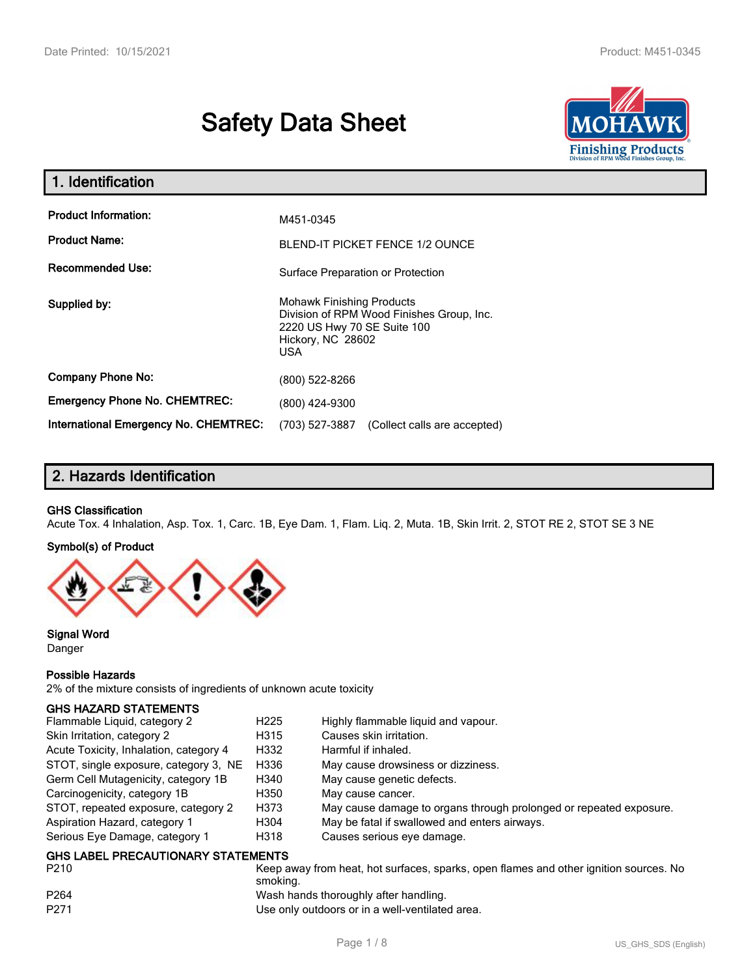# **Safety Data Sheet**



| 1. Identification                                   |                                                                                                                                          |  |
|-----------------------------------------------------|------------------------------------------------------------------------------------------------------------------------------------------|--|
| <b>Product Information:</b><br><b>Product Name:</b> | M451-0345<br><b>BLEND-IT PICKET FENCE 1/2 OUNCE</b>                                                                                      |  |
| <b>Recommended Use:</b>                             | Surface Preparation or Protection                                                                                                        |  |
| Supplied by:                                        | <b>Mohawk Finishing Products</b><br>Division of RPM Wood Finishes Group, Inc.<br>2220 US Hwy 70 SE Suite 100<br>Hickory, NC 28602<br>USA |  |
| <b>Company Phone No:</b>                            | (800) 522-8266                                                                                                                           |  |
| <b>Emergency Phone No. CHEMTREC:</b>                | (800) 424-9300                                                                                                                           |  |
| <b>International Emergency No. CHEMTREC:</b>        | (703) 527-3887<br>(Collect calls are accepted)                                                                                           |  |

## **2. Hazards Identification**

#### **GHS Classification**

Acute Tox. 4 Inhalation, Asp. Tox. 1, Carc. 1B, Eye Dam. 1, Flam. Liq. 2, Muta. 1B, Skin Irrit. 2, STOT RE 2, STOT SE 3 NE

#### **Symbol(s) of Product**



**Signal Word** Danger

#### **Possible Hazards**

2% of the mixture consists of ingredients of unknown acute toxicity

#### **GHS HAZARD STATEMENTS**

| Flammable Liquid, category 2           | H <sub>225</sub> | Highly flammable liquid and vapour.                                |
|----------------------------------------|------------------|--------------------------------------------------------------------|
| Skin Irritation, category 2            | H315             | Causes skin irritation.                                            |
| Acute Toxicity, Inhalation, category 4 | H332             | Harmful if inhaled.                                                |
| STOT, single exposure, category 3, NE  | H336             | May cause drowsiness or dizziness.                                 |
| Germ Cell Mutagenicity, category 1B    | H340             | May cause genetic defects.                                         |
| Carcinogenicity, category 1B           | H350             | May cause cancer.                                                  |
| STOT, repeated exposure, category 2    | H373             | May cause damage to organs through prolonged or repeated exposure. |
| Aspiration Hazard, category 1          | H304             | May be fatal if swallowed and enters airways.                      |
| Serious Eye Damage, category 1         | H318             | Causes serious eye damage.                                         |
| GHS LAREL PRECALITIONARY STATEMENTS    |                  |                                                                    |

#### **GHS LABEL PRECAUTIONARY STATEMENTS**

P210 **Keep away from heat, hot surfaces, sparks, open flames and other ignition sources. No** smoking. P264 Mash hands thoroughly after handling. P271 Use only outdoors or in a well-ventilated area.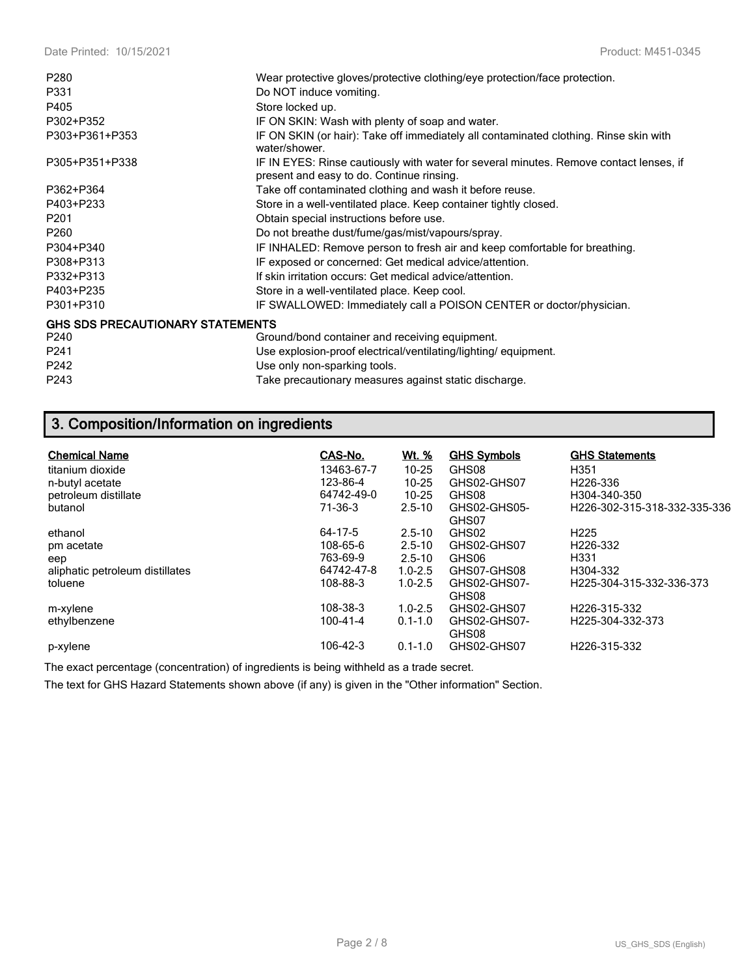| P <sub>280</sub>                        | Wear protective gloves/protective clothing/eye protection/face protection.                                                          |
|-----------------------------------------|-------------------------------------------------------------------------------------------------------------------------------------|
| P331                                    | Do NOT induce vomiting.                                                                                                             |
| P405                                    | Store locked up.                                                                                                                    |
| P302+P352                               | IF ON SKIN: Wash with plenty of soap and water.                                                                                     |
| P303+P361+P353                          | IF ON SKIN (or hair): Take off immediately all contaminated clothing. Rinse skin with<br>water/shower.                              |
| P305+P351+P338                          | IF IN EYES: Rinse cautiously with water for several minutes. Remove contact lenses, if<br>present and easy to do. Continue rinsing. |
| P362+P364                               | Take off contaminated clothing and wash it before reuse.                                                                            |
| P403+P233                               | Store in a well-ventilated place. Keep container tightly closed.                                                                    |
| P <sub>201</sub>                        | Obtain special instructions before use.                                                                                             |
| P <sub>260</sub>                        | Do not breathe dust/fume/gas/mist/vapours/spray.                                                                                    |
| P304+P340                               | IF INHALED: Remove person to fresh air and keep comfortable for breathing.                                                          |
| P308+P313                               | IF exposed or concerned: Get medical advice/attention.                                                                              |
| P332+P313                               | If skin irritation occurs: Get medical advice/attention.                                                                            |
| P403+P235                               | Store in a well-ventilated place. Keep cool.                                                                                        |
| P301+P310                               | IF SWALLOWED: Immediately call a POISON CENTER or doctor/physician.                                                                 |
| <b>GHS SDS PRECAUTIONARY STATEMENTS</b> |                                                                                                                                     |
| P240                                    | Ground/bond container and receiving equipment.                                                                                      |
| P241                                    | Use explosion-proof electrical/ventilating/lighting/equipment.                                                                      |
| P242                                    | Use only non-sparking tools.                                                                                                        |
| P243                                    | Take precautionary measures against static discharge.                                                                               |

## **3. Composition/Information on ingredients**

| <b>Chemical Name</b>            | CAS-No.    | Wt. %       | <b>GHS Symbols</b> | <b>GHS Statements</b>         |
|---------------------------------|------------|-------------|--------------------|-------------------------------|
| titanium dioxide                | 13463-67-7 | $10 - 25$   | GHS08              | H351                          |
| n-butyl acetate                 | 123-86-4   | $10 - 25$   | GHS02-GHS07        | H <sub>226</sub> -336         |
| petroleum distillate            | 64742-49-0 | $10 - 25$   | GHS08              | H304-340-350                  |
| butanol                         | 71-36-3    | $2.5 - 10$  | GHS02-GHS05-       | H226-302-315-318-332-335-336  |
|                                 |            |             | GHS07              |                               |
| ethanol                         | 64-17-5    | $2.5 - 10$  | GHS02              | H <sub>225</sub>              |
| pm acetate                      | 108-65-6   | $2.5 - 10$  | GHS02-GHS07        | H <sub>226</sub> -332         |
| eep                             | 763-69-9   | $2.5 - 10$  | GHS06              | H331                          |
| aliphatic petroleum distillates | 64742-47-8 | $1.0 - 2.5$ | GHS07-GHS08        | H304-332                      |
| toluene                         | 108-88-3   | $1.0 - 2.5$ | GHS02-GHS07-       | H225-304-315-332-336-373      |
|                                 |            |             | GHS08              |                               |
| m-xylene                        | 108-38-3   | $1.0 - 2.5$ | GHS02-GHS07        | H226-315-332                  |
| ethylbenzene                    | 100-41-4   | $0.1 - 1.0$ | GHS02-GHS07-       | H <sub>225</sub> -304-332-373 |
|                                 |            |             | GHS08              |                               |
| p-xylene                        | 106-42-3   | $0.1 - 1.0$ | GHS02-GHS07        | H226-315-332                  |

The exact percentage (concentration) of ingredients is being withheld as a trade secret.

The text for GHS Hazard Statements shown above (if any) is given in the "Other information" Section.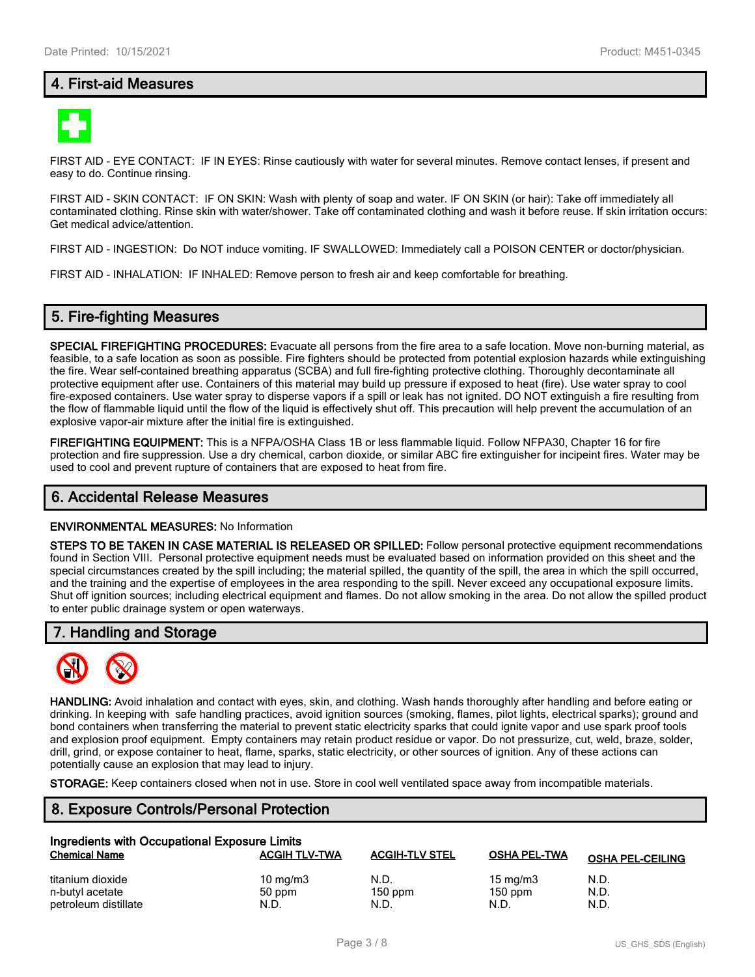## **4. First-aid Measures**



FIRST AID - EYE CONTACT: IF IN EYES: Rinse cautiously with water for several minutes. Remove contact lenses, if present and easy to do. Continue rinsing.

FIRST AID - SKIN CONTACT: IF ON SKIN: Wash with plenty of soap and water. IF ON SKIN (or hair): Take off immediately all contaminated clothing. Rinse skin with water/shower. Take off contaminated clothing and wash it before reuse. If skin irritation occurs: Get medical advice/attention.

FIRST AID - INGESTION: Do NOT induce vomiting. IF SWALLOWED: Immediately call a POISON CENTER or doctor/physician.

FIRST AID - INHALATION: IF INHALED: Remove person to fresh air and keep comfortable for breathing.

#### **5. Fire-fighting Measures**

**SPECIAL FIREFIGHTING PROCEDURES:** Evacuate all persons from the fire area to a safe location. Move non-burning material, as feasible, to a safe location as soon as possible. Fire fighters should be protected from potential explosion hazards while extinguishing the fire. Wear self-contained breathing apparatus (SCBA) and full fire-fighting protective clothing. Thoroughly decontaminate all protective equipment after use. Containers of this material may build up pressure if exposed to heat (fire). Use water spray to cool fire-exposed containers. Use water spray to disperse vapors if a spill or leak has not ignited. DO NOT extinguish a fire resulting from the flow of flammable liquid until the flow of the liquid is effectively shut off. This precaution will help prevent the accumulation of an explosive vapor-air mixture after the initial fire is extinguished.

**FIREFIGHTING EQUIPMENT:** This is a NFPA/OSHA Class 1B or less flammable liquid. Follow NFPA30, Chapter 16 for fire protection and fire suppression. Use a dry chemical, carbon dioxide, or similar ABC fire extinguisher for incipeint fires. Water may be used to cool and prevent rupture of containers that are exposed to heat from fire.

#### **6. Accidental Release Measures**

#### **ENVIRONMENTAL MEASURES:** No Information

**STEPS TO BE TAKEN IN CASE MATERIAL IS RELEASED OR SPILLED:** Follow personal protective equipment recommendations found in Section VIII. Personal protective equipment needs must be evaluated based on information provided on this sheet and the special circumstances created by the spill including; the material spilled, the quantity of the spill, the area in which the spill occurred, and the training and the expertise of employees in the area responding to the spill. Never exceed any occupational exposure limits. Shut off ignition sources; including electrical equipment and flames. Do not allow smoking in the area. Do not allow the spilled product to enter public drainage system or open waterways.

#### **7. Handling and Storage**



**HANDLING:** Avoid inhalation and contact with eyes, skin, and clothing. Wash hands thoroughly after handling and before eating or drinking. In keeping with safe handling practices, avoid ignition sources (smoking, flames, pilot lights, electrical sparks); ground and bond containers when transferring the material to prevent static electricity sparks that could ignite vapor and use spark proof tools and explosion proof equipment. Empty containers may retain product residue or vapor. Do not pressurize, cut, weld, braze, solder, drill, grind, or expose container to heat, flame, sparks, static electricity, or other sources of ignition. Any of these actions can potentially cause an explosion that may lead to injury.

**STORAGE:** Keep containers closed when not in use. Store in cool well ventilated space away from incompatible materials.

## **8. Exposure Controls/Personal Protection**

| Ingredients with Occupational Exposure Limits |                      |                       |                     |                         |
|-----------------------------------------------|----------------------|-----------------------|---------------------|-------------------------|
| <b>Chemical Name</b>                          | <b>ACGIH TLV-TWA</b> | <b>ACGIH-TLV STEL</b> | <b>OSHA PEL-TWA</b> | <b>OSHA PEL-CEILING</b> |
| titanium dioxide                              | 10 $mq/m3$           | N.D.                  | $15 \text{ mg/m}$   | N.D.                    |
| n-butyl acetate                               | 50 ppm               | $150$ ppm             | $150$ ppm           | N.D.                    |
| petroleum distillate                          | N.D.                 | N.D.                  | N.D.                | N.D.                    |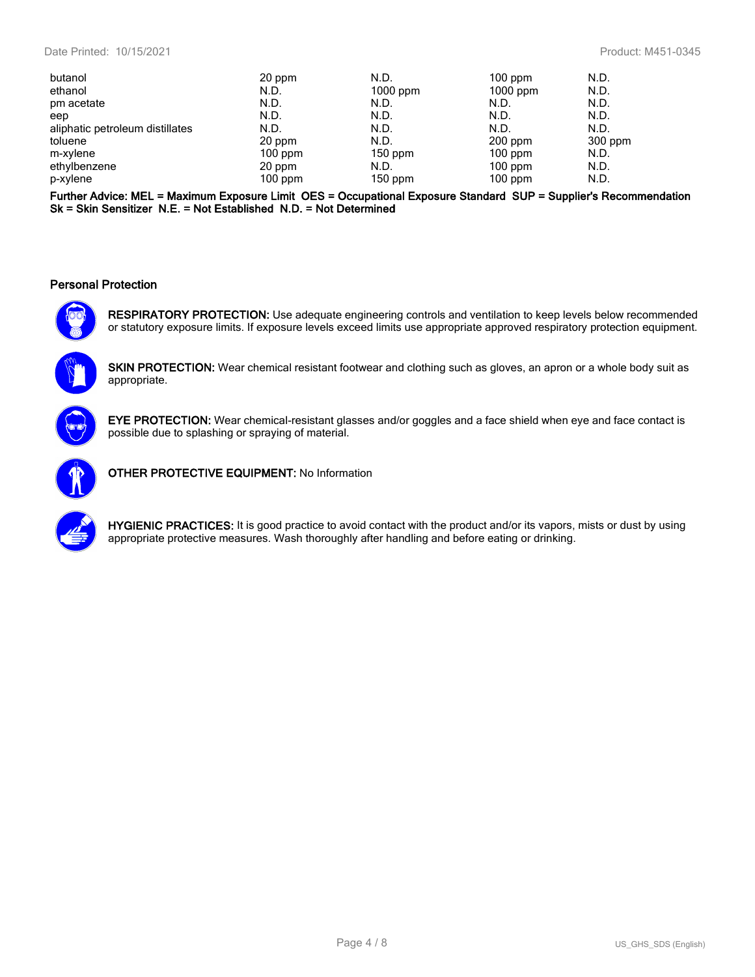| butanol                         | 20 ppm    | N.D.       | $100$ ppm  | N.D.    |
|---------------------------------|-----------|------------|------------|---------|
| ethanol                         | N.D.      | $1000$ ppm | $1000$ ppm | N.D.    |
| pm acetate                      | N.D.      | N.D.       | N.D.       | N.D.    |
| eep                             | N.D.      | N.D.       | N.D.       | N.D.    |
| aliphatic petroleum distillates | N.D.      | N.D.       | N.D.       | N.D.    |
| toluene                         | 20 ppm    | N.D.       | $200$ ppm  | 300 ppm |
| m-xylene                        | $100$ ppm | $150$ ppm  | $100$ ppm  | N.D.    |
| ethylbenzene                    | 20 ppm    | N.D.       | $100$ ppm  | N.D.    |
| p-xylene                        | $100$ ppm | $150$ ppm  | $100$ ppm  | N.D.    |
|                                 |           |            |            |         |

**Further Advice: MEL = Maximum Exposure Limit OES = Occupational Exposure Standard SUP = Supplier's Recommendation Sk = Skin Sensitizer N.E. = Not Established N.D. = Not Determined**

#### **Personal Protection**



**RESPIRATORY PROTECTION:** Use adequate engineering controls and ventilation to keep levels below recommended or statutory exposure limits. If exposure levels exceed limits use appropriate approved respiratory protection equipment.

**SKIN PROTECTION:** Wear chemical resistant footwear and clothing such as gloves, an apron or a whole body suit as appropriate.



**EYE PROTECTION:** Wear chemical-resistant glasses and/or goggles and a face shield when eye and face contact is possible due to splashing or spraying of material.



**OTHER PROTECTIVE EQUIPMENT:** No Information



**HYGIENIC PRACTICES:** It is good practice to avoid contact with the product and/or its vapors, mists or dust by using appropriate protective measures. Wash thoroughly after handling and before eating or drinking.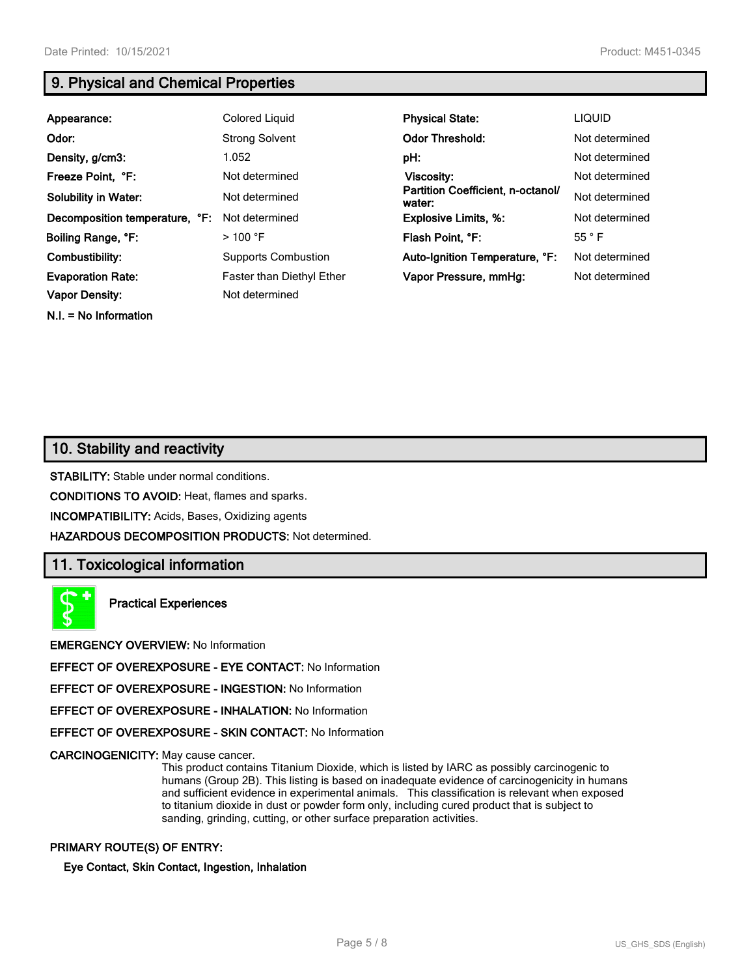**N.I. = No Information**

## **9. Physical and Chemical Properties**

| Appearance:                    | Colored Liquid                   | <b>Physical State:</b>                      | <b>LIQUID</b>  |
|--------------------------------|----------------------------------|---------------------------------------------|----------------|
| Odor:                          | <b>Strong Solvent</b>            | <b>Odor Threshold:</b>                      | Not determined |
| Density, g/cm3:                | 1.052                            | pH:                                         | Not determined |
| Freeze Point, °F:              | Not determined                   | Viscosity:                                  | Not determined |
| <b>Solubility in Water:</b>    | Not determined                   | Partition Coefficient, n-octanol/<br>water: | Not determined |
| Decomposition temperature, °F: | Not determined                   | <b>Explosive Limits, %:</b>                 | Not determined |
| Boiling Range, °F:             | $>$ 100 °F                       | Flash Point, °F:                            | 55 °F          |
| Combustibility:                | <b>Supports Combustion</b>       | Auto-Ignition Temperature, °F:              | Not determined |
| <b>Evaporation Rate:</b>       | <b>Faster than Diethyl Ether</b> | Vapor Pressure, mmHg:                       | Not determined |
| <b>Vapor Density:</b>          | Not determined                   |                                             |                |

## **10. Stability and reactivity**

**STABILITY:** Stable under normal conditions.

**CONDITIONS TO AVOID:** Heat, flames and sparks.

**INCOMPATIBILITY:** Acids, Bases, Oxidizing agents

**HAZARDOUS DECOMPOSITION PRODUCTS:** Not determined.

#### **11. Toxicological information**

**Practical Experiences**

**EMERGENCY OVERVIEW:** No Information

**EFFECT OF OVEREXPOSURE - EYE CONTACT:** No Information

**EFFECT OF OVEREXPOSURE - INGESTION:** No Information

**EFFECT OF OVEREXPOSURE - INHALATION:** No Information

**EFFECT OF OVEREXPOSURE - SKIN CONTACT:** No Information

**CARCINOGENICITY:** May cause cancer.

This product contains Titanium Dioxide, which is listed by IARC as possibly carcinogenic to humans (Group 2B). This listing is based on inadequate evidence of carcinogenicity in humans and sufficient evidence in experimental animals. This classification is relevant when exposed to titanium dioxide in dust or powder form only, including cured product that is subject to sanding, grinding, cutting, or other surface preparation activities.

#### **PRIMARY ROUTE(S) OF ENTRY:**

**Eye Contact, Skin Contact, Ingestion, Inhalation**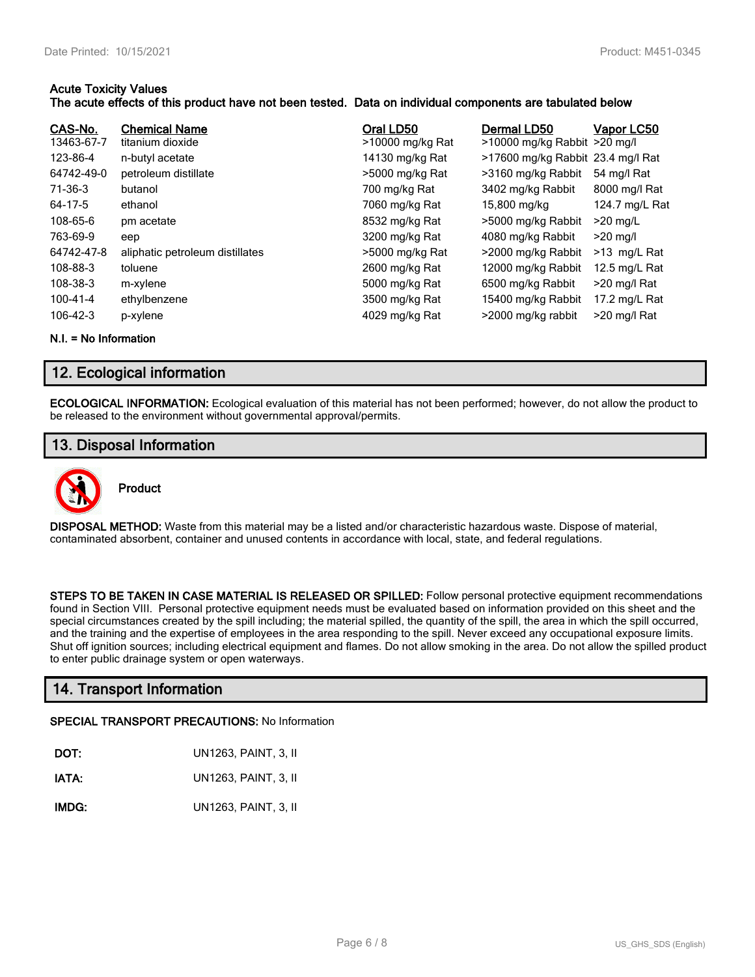#### **Acute Toxicity Values**

#### **The acute effects of this product have not been tested. Data on individual components are tabulated below**

| CAS-No.<br>13463-67-7 | <b>Chemical Name</b><br>titanium dioxide | Oral LD50<br>>10000 mg/kg Rat | Dermal LD50<br>>10000 mg/kg Rabbit >20 mg/l | Vapor LC50     |
|-----------------------|------------------------------------------|-------------------------------|---------------------------------------------|----------------|
| 123-86-4              | n-butyl acetate                          | 14130 mg/kg Rat               | >17600 mg/kg Rabbit 23.4 mg/l Rat           |                |
| 64742-49-0            | petroleum distillate                     | >5000 mg/kg Rat               | >3160 mg/kg Rabbit                          | 54 mg/l Rat    |
| 71-36-3               | butanol                                  | 700 mg/kg Rat                 | 3402 mg/kg Rabbit                           | 8000 mg/l Rat  |
| 64-17-5               | ethanol                                  | 7060 mg/kg Rat                | 15,800 mg/kg                                | 124.7 mg/L Rat |
| 108-65-6              | pm acetate                               | 8532 mg/kg Rat                | >5000 mg/kg Rabbit                          | $>20$ mg/L     |
| 763-69-9              | eep                                      | 3200 mg/kg Rat                | 4080 mg/kg Rabbit                           | $>20$ mg/l     |
| 64742-47-8            | aliphatic petroleum distillates          | >5000 mg/kg Rat               | >2000 mg/kg Rabbit                          | $>13$ mg/L Rat |
| 108-88-3              | toluene                                  | 2600 mg/kg Rat                | 12000 mg/kg Rabbit                          | 12.5 mg/L Rat  |
| 108-38-3              | m-xylene                                 | 5000 mg/kg Rat                | 6500 mg/kg Rabbit                           | >20 mg/l Rat   |
| 100-41-4              | ethylbenzene                             | 3500 mg/kg Rat                | 15400 mg/kg Rabbit                          | 17.2 mg/L Rat  |
| $106 - 42 - 3$        | p-xylene                                 | 4029 mg/kg Rat                | >2000 mg/kg rabbit                          | >20 mg/l Rat   |

**N.I. = No Information**

## **12. Ecological information**

**ECOLOGICAL INFORMATION:** Ecological evaluation of this material has not been performed; however, do not allow the product to be released to the environment without governmental approval/permits.

## **13. Disposal Information**



## **Product**

**DISPOSAL METHOD:** Waste from this material may be a listed and/or characteristic hazardous waste. Dispose of material, contaminated absorbent, container and unused contents in accordance with local, state, and federal regulations.

**STEPS TO BE TAKEN IN CASE MATERIAL IS RELEASED OR SPILLED:** Follow personal protective equipment recommendations found in Section VIII. Personal protective equipment needs must be evaluated based on information provided on this sheet and the special circumstances created by the spill including; the material spilled, the quantity of the spill, the area in which the spill occurred, and the training and the expertise of employees in the area responding to the spill. Never exceed any occupational exposure limits. Shut off ignition sources; including electrical equipment and flames. Do not allow smoking in the area. Do not allow the spilled product to enter public drainage system or open waterways.

## **14. Transport Information**

#### **SPECIAL TRANSPORT PRECAUTIONS:** No Information

| DOT:  | UN1263, PAINT, 3, II |
|-------|----------------------|
| IATA: | UN1263, PAINT, 3, II |
| IMDG: | UN1263, PAINT, 3, II |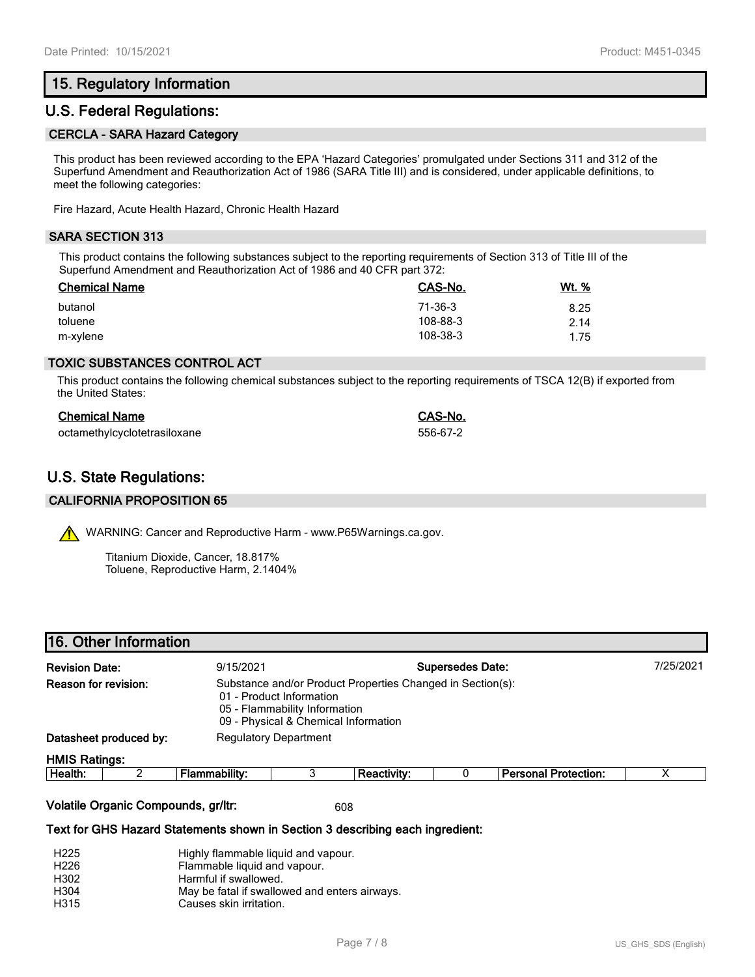## **15. Regulatory Information**

### **U.S. Federal Regulations:**

#### **CERCLA - SARA Hazard Category**

This product has been reviewed according to the EPA 'Hazard Categories' promulgated under Sections 311 and 312 of the Superfund Amendment and Reauthorization Act of 1986 (SARA Title III) and is considered, under applicable definitions, to meet the following categories:

Fire Hazard, Acute Health Hazard, Chronic Health Hazard

#### **SARA SECTION 313**

This product contains the following substances subject to the reporting requirements of Section 313 of Title III of the Superfund Amendment and Reauthorization Act of 1986 and 40 CFR part 372:

| <b>Chemical Name</b> | CAS-No.  | <u>Wt. %</u> |
|----------------------|----------|--------------|
| butanol              | 71-36-3  | 8.25         |
| toluene              | 108-88-3 | 2.14         |
| m-xylene             | 108-38-3 | 1.75         |

#### **TOXIC SUBSTANCES CONTROL ACT**

This product contains the following chemical substances subject to the reporting requirements of TSCA 12(B) if exported from the United States:

| <b>Chemical Name</b>         | CAS-No.  |
|------------------------------|----------|
| octamethylcyclotetrasiloxane | 556-67-2 |

## **U.S. State Regulations:**

#### **CALIFORNIA PROPOSITION 65**

WARNING: Cancer and Reproductive Harm - www.P65Warnings.ca.gov.

Titanium Dioxide, Cancer, 18.817% Toluene, Reproductive Harm, 2.1404%

| 16. Other Information |  |
|-----------------------|--|
|-----------------------|--|

| <b>Revision Date:</b><br>Reason for revision: |  | <b>Supersedes Date:</b><br>9/15/2021                                                                                                                            |   |                    |  |                             | 7/25/2021 |  |
|-----------------------------------------------|--|-----------------------------------------------------------------------------------------------------------------------------------------------------------------|---|--------------------|--|-----------------------------|-----------|--|
|                                               |  | Substance and/or Product Properties Changed in Section(s):<br>01 - Product Information<br>05 - Flammability Information<br>09 - Physical & Chemical Information |   |                    |  |                             |           |  |
| Datasheet produced by:                        |  | <b>Regulatory Department</b>                                                                                                                                    |   |                    |  |                             |           |  |
| <b>HMIS Ratings:</b>                          |  |                                                                                                                                                                 |   |                    |  |                             |           |  |
| Health:                                       |  | Flammability:                                                                                                                                                   | 3 | <b>Reactivity:</b> |  | <b>Personal Protection:</b> | х         |  |
|                                               |  |                                                                                                                                                                 |   |                    |  |                             |           |  |

#### **Volatile Organic Compounds, gr/ltr:** 608

#### **Text for GHS Hazard Statements shown in Section 3 describing each ingredient:**

| H <sub>225</sub> | Highly flammable liquid and vapour.           |
|------------------|-----------------------------------------------|
| H <sub>226</sub> | Flammable liquid and vapour.                  |
| H302             | Harmful if swallowed.                         |
| H <sub>304</sub> | May be fatal if swallowed and enters airways. |
| H315             | Causes skin irritation.                       |